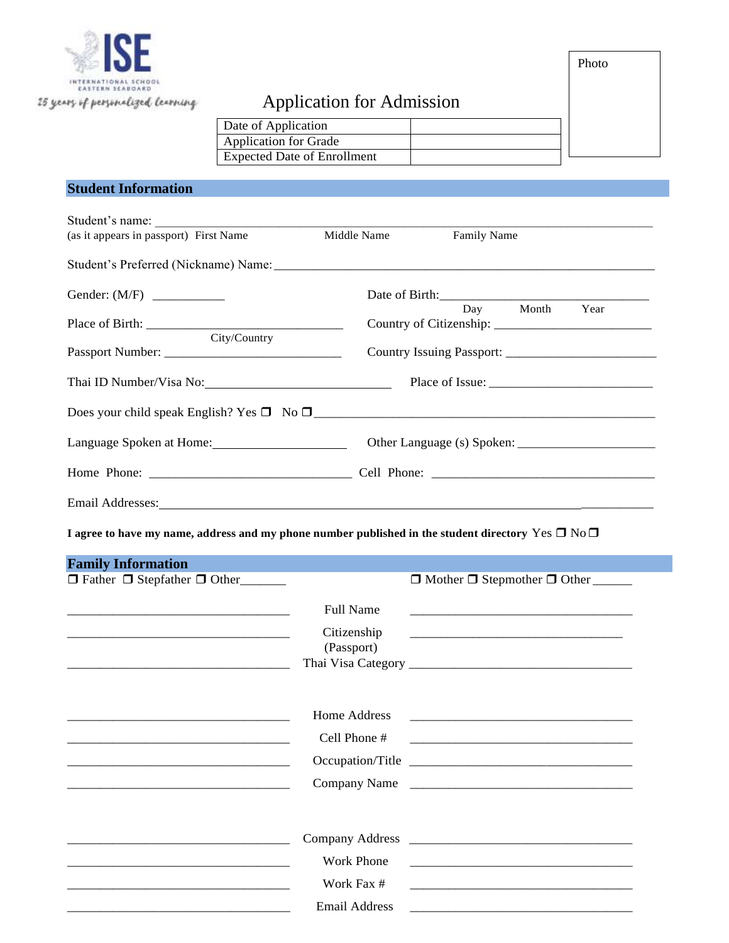

# Application for Admission

Date of Application Application for Grade Expected Date of Enrollment

# **Student Information**

| Student's name:                              |                                                                                                                                                                                                                                                                                                                                                |
|----------------------------------------------|------------------------------------------------------------------------------------------------------------------------------------------------------------------------------------------------------------------------------------------------------------------------------------------------------------------------------------------------|
| Middle Name                                  | Family Name                                                                                                                                                                                                                                                                                                                                    |
|                                              |                                                                                                                                                                                                                                                                                                                                                |
|                                              |                                                                                                                                                                                                                                                                                                                                                |
|                                              | Day Month Year                                                                                                                                                                                                                                                                                                                                 |
|                                              |                                                                                                                                                                                                                                                                                                                                                |
|                                              | Thai ID Number/Visa No: 1990 March 2010 Place of Issue: 2010 Mumber/Visa No: 2010 Mumber/Visa No: 2010 Mumber/                                                                                                                                                                                                                                 |
|                                              |                                                                                                                                                                                                                                                                                                                                                |
|                                              |                                                                                                                                                                                                                                                                                                                                                |
|                                              |                                                                                                                                                                                                                                                                                                                                                |
|                                              |                                                                                                                                                                                                                                                                                                                                                |
|                                              |                                                                                                                                                                                                                                                                                                                                                |
| $\Box$ Father $\Box$ Stepfather $\Box$ Other | $\Box$ Mother $\Box$ Stepmother $\Box$ Other                                                                                                                                                                                                                                                                                                   |
|                                              |                                                                                                                                                                                                                                                                                                                                                |
| Full Name                                    |                                                                                                                                                                                                                                                                                                                                                |
| Citizenship<br>(Passport)                    |                                                                                                                                                                                                                                                                                                                                                |
|                                              |                                                                                                                                                                                                                                                                                                                                                |
| Home Address                                 |                                                                                                                                                                                                                                                                                                                                                |
| Cell Phone #                                 |                                                                                                                                                                                                                                                                                                                                                |
|                                              |                                                                                                                                                                                                                                                                                                                                                |
|                                              |                                                                                                                                                                                                                                                                                                                                                |
|                                              |                                                                                                                                                                                                                                                                                                                                                |
|                                              |                                                                                                                                                                                                                                                                                                                                                |
| <b>Work Phone</b>                            | <u> 1980 - Jan Barbarat, martin da shekara 1980 - An tsa a tsa a tsa a tsa a tsa a tsa a tsa a tsa a tsa a tsa a</u>                                                                                                                                                                                                                           |
| Work Fax #                                   |                                                                                                                                                                                                                                                                                                                                                |
|                                              | Email Addresses: No. 2014 19:20:20 No. 2014 19:20:20 No. 2014 19:20:20 No. 2014 19:20:20 No. 2014 19:20:20 No. 2014 19:20:20 No. 2014 19:20:20 No. 2014 19:20:20 No. 2014 19:20:20 No. 2014 19:20:20 No. 2014 19:20:20 No. 201<br>I agree to have my name, address and my phone number published in the student directory Yes $\Box$ No $\Box$ |

Photo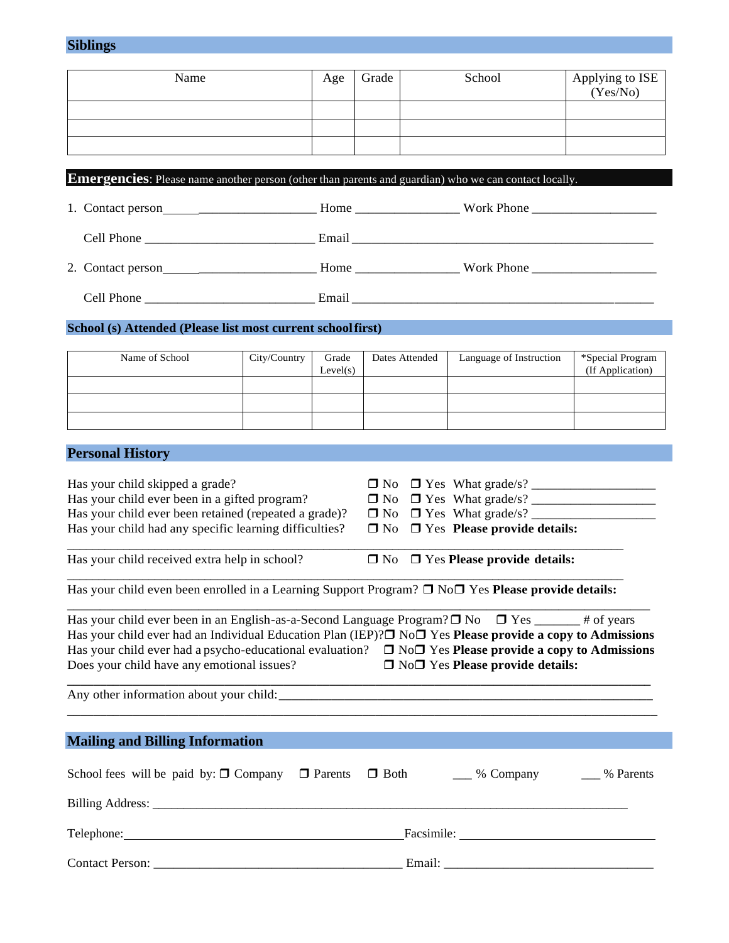## **Siblings**

| Name | Age | Grade | School | Applying to ISE<br>(Yes/No) |
|------|-----|-------|--------|-----------------------------|
|      |     |       |        |                             |
|      |     |       |        |                             |
|      |     |       |        |                             |

**Emergencies**: Please name another person (other than parents and guardian) who we can contact locally.

| 1. Contact person<br><u> 1980 - Jan Stein Harry Harry Harry Harry Harry Harry Harry Harry Harry Harry Harry Harry Harry Harry Harry</u> | Home  | Work Phone        |
|-----------------------------------------------------------------------------------------------------------------------------------------|-------|-------------------|
| Cell Phone                                                                                                                              | Email |                   |
| 2. Contact person                                                                                                                       | Home  | <b>Work Phone</b> |
| Cell Phone                                                                                                                              | Email |                   |

### **School (s) Attended (Please list most current schoolfirst)**

| City/Country | Grade    | Dates Attended | Language of Instruction | *Special Program |
|--------------|----------|----------------|-------------------------|------------------|
|              | Level(s) |                |                         | (If Application) |
|              |          |                |                         |                  |
|              |          |                |                         |                  |
|              |          |                |                         |                  |
|              |          |                |                         |                  |
|              |          |                |                         |                  |

# **Personal History**

| Has your child skipped a grade?                                                                                                                                                                                                |                                                                                                                                                                                                                                |
|--------------------------------------------------------------------------------------------------------------------------------------------------------------------------------------------------------------------------------|--------------------------------------------------------------------------------------------------------------------------------------------------------------------------------------------------------------------------------|
| Has your child ever been in a gifted program?                                                                                                                                                                                  |                                                                                                                                                                                                                                |
| Has your child ever been retained (repeated a grade)?                                                                                                                                                                          |                                                                                                                                                                                                                                |
| Has your child had any specific learning difficulties?                                                                                                                                                                         | $\Box$ No $\Box$ Yes Please provide details:                                                                                                                                                                                   |
| Has your child received extra help in school?                                                                                                                                                                                  | $\Box$ No $\Box$ Yes Please provide details:                                                                                                                                                                                   |
| Has your child even been enrolled in a Learning Support Program? $\Box$ No $\Box$ Yes Please provide details:                                                                                                                  |                                                                                                                                                                                                                                |
| Has your child ever been in an English-as-a-Second Language Program? $\Box$ No $\Box$ Yes _______ # of years                                                                                                                   |                                                                                                                                                                                                                                |
|                                                                                                                                                                                                                                | Has your child ever had an Individual Education Plan (IEP)? $\square$ No $\square$ Yes <b>Please provide a copy to Admissions</b>                                                                                              |
|                                                                                                                                                                                                                                | Has your child ever had a psycho-educational evaluation? $\Box$ No $\Box$ Yes <b>Please provide a copy to Admissions</b>                                                                                                       |
| Does your child have any emotional issues?                                                                                                                                                                                     | $\Box$ No $\Box$ Yes Please provide details:                                                                                                                                                                                   |
|                                                                                                                                                                                                                                |                                                                                                                                                                                                                                |
| <b>Mailing and Billing Information</b>                                                                                                                                                                                         |                                                                                                                                                                                                                                |
|                                                                                                                                                                                                                                |                                                                                                                                                                                                                                |
|                                                                                                                                                                                                                                | School fees will be paid by: $\Box$ Company $\Box$ Parents $\Box$ Both $\Box$ % Company $\Box$ % Parents                                                                                                                       |
|                                                                                                                                                                                                                                |                                                                                                                                                                                                                                |
| Telephone: The contract of the contract of the contract of the contract of the contract of the contract of the contract of the contract of the contract of the contract of the contract of the contract of the contract of the | Facsimile: New York Changes and Security and Security and Security and Security and Security and Security and Security and Security and Security and Security and Security and Security and Security and Security and Security |
|                                                                                                                                                                                                                                |                                                                                                                                                                                                                                |